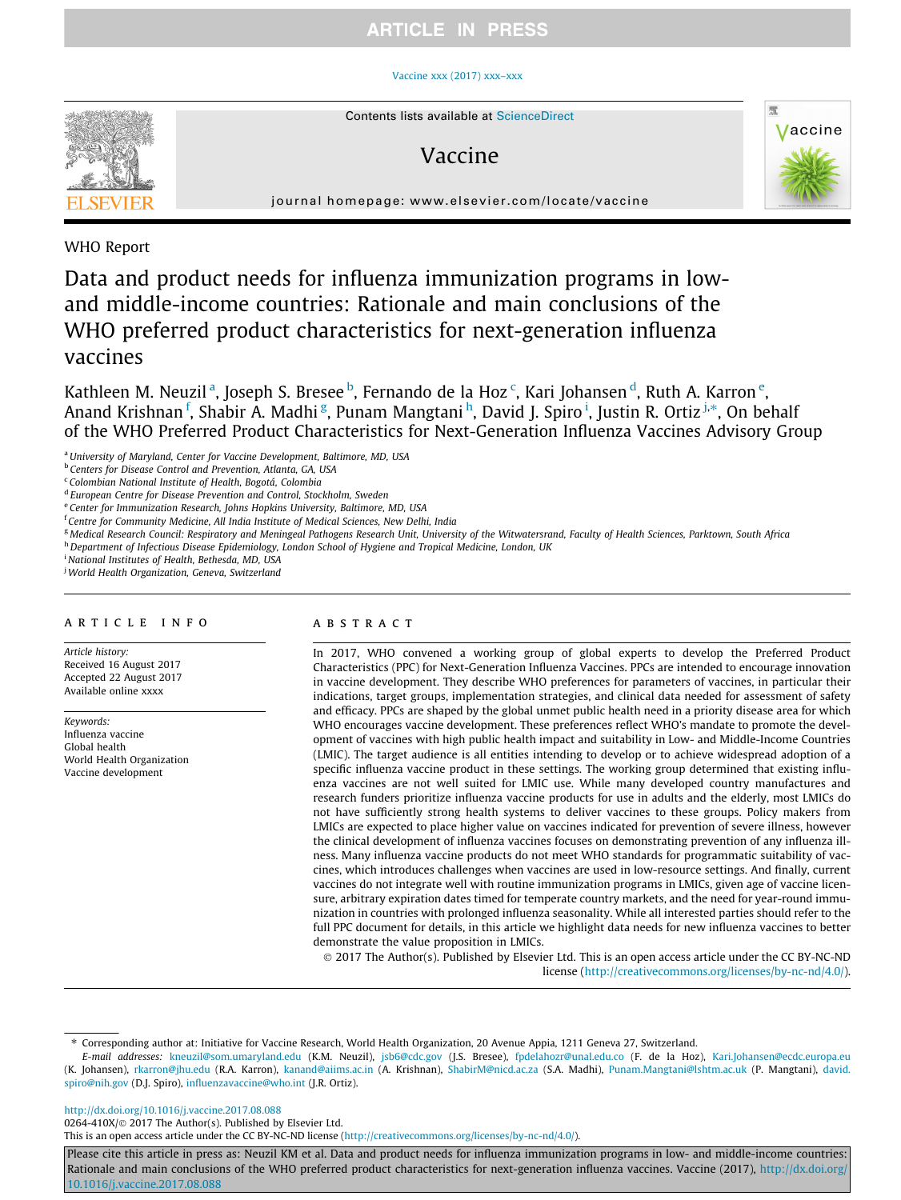## **ARTICLE IN PRESS**

## [Vaccine xxx \(2017\) xxx–xxx](http://dx.doi.org/10.1016/j.vaccine.2017.08.088)



# Vaccine



journal homepage: [www.elsevier.com/locate/vaccine](http://www.elsevier.com/locate/vaccine)

WHO Report

Data and product needs for influenza immunization programs in lowand middle-income countries: Rationale and main conclusions of the WHO preferred product characteristics for next-generation influenza vaccines

Kathleen M. Neuzil <sup>a</sup>, Joseph S. Bresee <sup>b</sup>, Fernando de la Hoz <sup>c</sup>, Kari Johansen <sup>d</sup>, Ruth A. Karron <sup>e</sup>, Anand Krishnan <sup>f</sup>, Shabir A. Madhi <sup>g</sup>, Punam Mangtani <sup>h</sup>, David J. Spiro <sup>i</sup>, Justin R. Ortiz <sup>j,\*</sup>, On behalf of the WHO Preferred Product Characteristics for Next-Generation Influenza Vaccines Advisory Group

- <sup>g</sup> Medical Research Council: Respiratory and Meningeal Pathogens Research Unit, University of the Witwatersrand, Faculty of Health Sciences, Parktown, South Africa
- h Department of Infectious Disease Epidemiology, London School of Hygiene and Tropical Medicine, London, UK

<sup>i</sup> National Institutes of Health, Bethesda, MD, USA

<sup>j</sup> World Health Organization, Geneva, Switzerland

## article info

Article history: Received 16 August 2017 Accepted 22 August 2017 Available online xxxx

Keywords: Influenza vaccine Global health World Health Organization Vaccine development

## ABSTRACT

In 2017, WHO convened a working group of global experts to develop the Preferred Product Characteristics (PPC) for Next-Generation Influenza Vaccines. PPCs are intended to encourage innovation in vaccine development. They describe WHO preferences for parameters of vaccines, in particular their indications, target groups, implementation strategies, and clinical data needed for assessment of safety and efficacy. PPCs are shaped by the global unmet public health need in a priority disease area for which WHO encourages vaccine development. These preferences reflect WHO's mandate to promote the development of vaccines with high public health impact and suitability in Low- and Middle-Income Countries (LMIC). The target audience is all entities intending to develop or to achieve widespread adoption of a specific influenza vaccine product in these settings. The working group determined that existing influenza vaccines are not well suited for LMIC use. While many developed country manufactures and research funders prioritize influenza vaccine products for use in adults and the elderly, most LMICs do not have sufficiently strong health systems to deliver vaccines to these groups. Policy makers from LMICs are expected to place higher value on vaccines indicated for prevention of severe illness, however the clinical development of influenza vaccines focuses on demonstrating prevention of any influenza illness. Many influenza vaccine products do not meet WHO standards for programmatic suitability of vaccines, which introduces challenges when vaccines are used in low-resource settings. And finally, current vaccines do not integrate well with routine immunization programs in LMICs, given age of vaccine licensure, arbitrary expiration dates timed for temperate country markets, and the need for year-round immunization in countries with prolonged influenza seasonality. While all interested parties should refer to the full PPC document for details, in this article we highlight data needs for new influenza vaccines to better demonstrate the value proposition in LMICs.

 2017 The Author(s). Published by Elsevier Ltd. This is an open access article under the CC BY-NC-ND license (<http://creativecommons.org/licenses/by-nc-nd/4.0/>).

<http://dx.doi.org/10.1016/j.vaccine.2017.08.088> 0264-410X/ $@$  2017 The Author(s). Published by Elsevier Ltd.

This is an open access article under the CC BY-NC-ND license ([http://creativecommons.org/licenses/by-nc-nd/4.0/\)](http://creativecommons.org/licenses/by-nc-nd/4.0/).

Please cite this article in press as: Neuzil KM et al. Data and product needs for influenza immunization programs in low- and middle-income countries: Rationale and main conclusions of the WHO preferred product characteristics for next-generation influenza vaccines. Vaccine (2017), [http://dx.doi.org/](http://dx.doi.org/10.1016/j.vaccine.2017.08.088) [10.1016/j.vaccine.2017.08.088](http://dx.doi.org/10.1016/j.vaccine.2017.08.088)

<sup>&</sup>lt;sup>a</sup> University of Maryland, Center for Vaccine Development, Baltimore, MD, USA

<sup>b</sup> Centers for Disease Control and Prevention, Atlanta, GA, USA

<sup>c</sup> Colombian National Institute of Health, Bogotá, Colombia

<sup>d</sup> European Centre for Disease Prevention and Control, Stockholm, Sweden

e Center for Immunization Research, Johns Hopkins University, Baltimore, MD, USA

<sup>&</sup>lt;sup>f</sup> Centre for Community Medicine, All India Institute of Medical Sciences, New Delhi, India

<sup>⇑</sup> Corresponding author at: Initiative for Vaccine Research, World Health Organization, 20 Avenue Appia, 1211 Geneva 27, Switzerland.

E-mail addresses: [kneuzil@som.umaryland.edu](mailto:kneuzil@som.umaryland.edu) (K.M. Neuzil), [jsb6@cdc.gov](mailto:jsb6@cdc.gov) (J.S. Bresee), [fpdelahozr@unal.edu.co](mailto:fpdelahozr@unal.edu.co) (F. de la Hoz), [Kari.Johansen@ecdc.europa.eu](mailto:Kari.Johansen@ecdc.europa.eu                       ) (K. Johansen), [rkarron@jhu.edu](mailto:rkarron@jhu.edu) (R.A. Karron), [kanand@aiims.ac.in](mailto:kanand@aiims.ac.in) (A. Krishnan), [ShabirM@nicd.ac.za](mailto:ShabirM@nicd.ac.za) (S.A. Madhi), [Punam.Mangtani@lshtm.ac.uk](mailto:Punam.Mangtani@lshtm.ac.uk) (P. Mangtani), [david.](mailto:david.spiro@nih.gov) [spiro@nih.gov](mailto:david.spiro@nih.gov) (D.J. Spiro), [influenzavaccine@who.int](mailto:influenzavaccine@who.int) (J.R. Ortiz).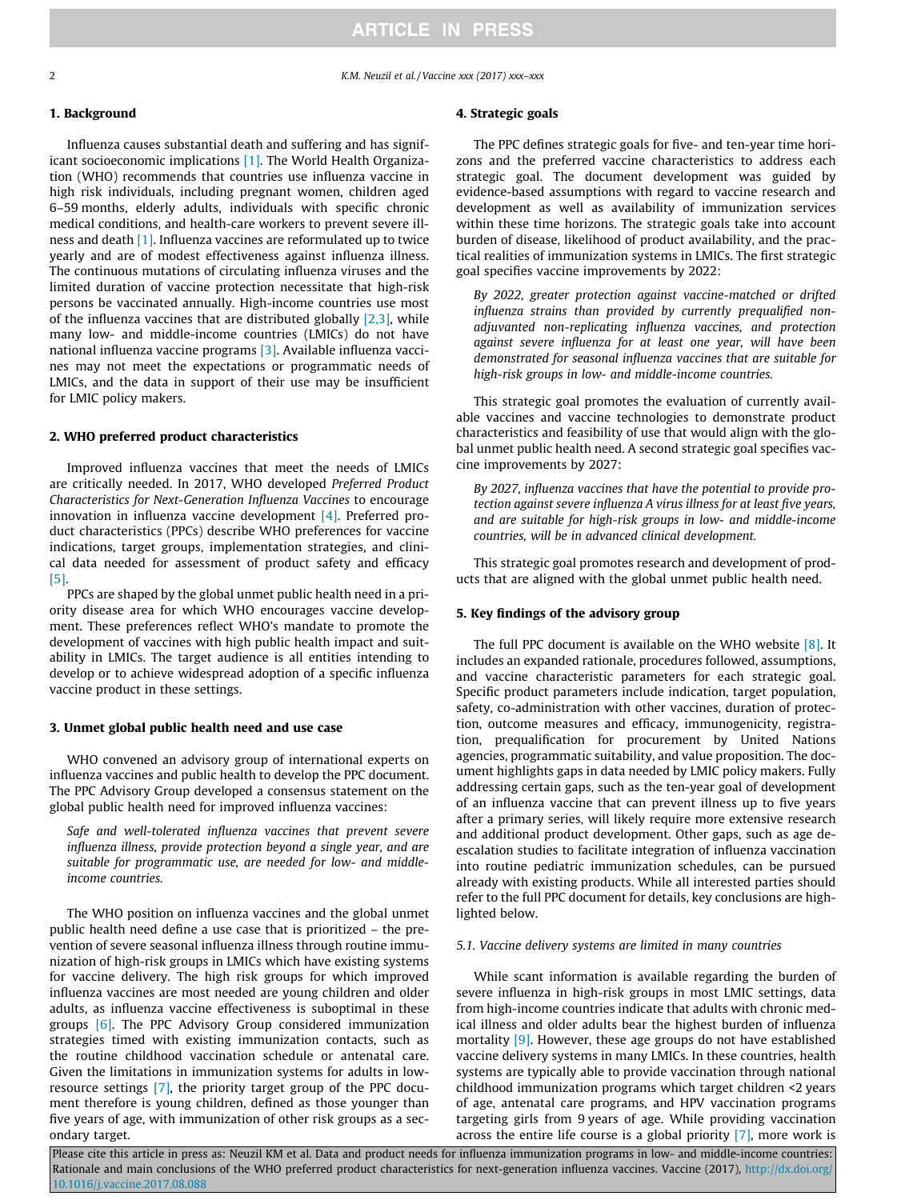2 K.M. Neuzil et al. / Vaccine xxx (2017) xxx–xxx

## 1. Background

Influenza causes substantial death and suffering and has significant socioeconomic implications [\[1\].](#page-2-0) The World Health Organization (WHO) recommends that countries use influenza vaccine in high risk individuals, including pregnant women, children aged 6–59 months, elderly adults, individuals with specific chronic medical conditions, and health-care workers to prevent severe illness and death [\[1\]](#page-2-0). Influenza vaccines are reformulated up to twice yearly and are of modest effectiveness against influenza illness. The continuous mutations of circulating influenza viruses and the limited duration of vaccine protection necessitate that high-risk persons be vaccinated annually. High-income countries use most of the influenza vaccines that are distributed globally [\[2,3\],](#page-2-0) while many low- and middle-income countries (LMICs) do not have national influenza vaccine programs [\[3\].](#page-2-0) Available influenza vaccines may not meet the expectations or programmatic needs of LMICs, and the data in support of their use may be insufficient for LMIC policy makers.

#### 2. WHO preferred product characteristics

Improved influenza vaccines that meet the needs of LMICs are critically needed. In 2017, WHO developed Preferred Product Characteristics for Next-Generation Influenza Vaccines to encourage innovation in influenza vaccine development [\[4\]](#page-2-0). Preferred product characteristics (PPCs) describe WHO preferences for vaccine indications, target groups, implementation strategies, and clinical data needed for assessment of product safety and efficacy [\[5\]](#page-2-0).

PPCs are shaped by the global unmet public health need in a priority disease area for which WHO encourages vaccine development. These preferences reflect WHO's mandate to promote the development of vaccines with high public health impact and suitability in LMICs. The target audience is all entities intending to develop or to achieve widespread adoption of a specific influenza vaccine product in these settings.

#### 3. Unmet global public health need and use case

WHO convened an advisory group of international experts on influenza vaccines and public health to develop the PPC document. The PPC Advisory Group developed a consensus statement on the global public health need for improved influenza vaccines:

Safe and well-tolerated influenza vaccines that prevent severe influenza illness, provide protection beyond a single year, and are suitable for programmatic use, are needed for low- and middleincome countries.

The WHO position on influenza vaccines and the global unmet public health need define a use case that is prioritized – the prevention of severe seasonal influenza illness through routine immunization of high-risk groups in LMICs which have existing systems for vaccine delivery. The high risk groups for which improved influenza vaccines are most needed are young children and older adults, as influenza vaccine effectiveness is suboptimal in these groups [\[6\].](#page-2-0) The PPC Advisory Group considered immunization strategies timed with existing immunization contacts, such as the routine childhood vaccination schedule or antenatal care. Given the limitations in immunization systems for adults in lowresource settings [\[7\]](#page-3-0), the priority target group of the PPC document therefore is young children, defined as those younger than five years of age, with immunization of other risk groups as a secondary target.

## 4. Strategic goals

The PPC defines strategic goals for five- and ten-year time horizons and the preferred vaccine characteristics to address each strategic goal. The document development was guided by evidence-based assumptions with regard to vaccine research and development as well as availability of immunization services within these time horizons. The strategic goals take into account burden of disease, likelihood of product availability, and the practical realities of immunization systems in LMICs. The first strategic goal specifies vaccine improvements by 2022:

By 2022, greater protection against vaccine-matched or drifted influenza strains than provided by currently prequalified nonadjuvanted non-replicating influenza vaccines, and protection against severe influenza for at least one year, will have been demonstrated for seasonal influenza vaccines that are suitable for high-risk groups in low- and middle-income countries.

This strategic goal promotes the evaluation of currently available vaccines and vaccine technologies to demonstrate product characteristics and feasibility of use that would align with the global unmet public health need. A second strategic goal specifies vaccine improvements by 2027:

By 2027, influenza vaccines that have the potential to provide protection against severe influenza A virus illness for at least five years, and are suitable for high-risk groups in low- and middle-income countries, will be in advanced clinical development.

This strategic goal promotes research and development of products that are aligned with the global unmet public health need.

### 5. Key findings of the advisory group

The full PPC document is available on the WHO website [\[8\]](#page-3-0). It includes an expanded rationale, procedures followed, assumptions, and vaccine characteristic parameters for each strategic goal. Specific product parameters include indication, target population, safety, co-administration with other vaccines, duration of protection, outcome measures and efficacy, immunogenicity, registration, prequalification for procurement by United Nations agencies, programmatic suitability, and value proposition. The document highlights gaps in data needed by LMIC policy makers. Fully addressing certain gaps, such as the ten-year goal of development of an influenza vaccine that can prevent illness up to five years after a primary series, will likely require more extensive research and additional product development. Other gaps, such as age deescalation studies to facilitate integration of influenza vaccination into routine pediatric immunization schedules, can be pursued already with existing products. While all interested parties should refer to the full PPC document for details, key conclusions are highlighted below.

#### 5.1. Vaccine delivery systems are limited in many countries

While scant information is available regarding the burden of severe influenza in high-risk groups in most LMIC settings, data from high-income countries indicate that adults with chronic medical illness and older adults bear the highest burden of influenza mortality [\[9\].](#page-3-0) However, these age groups do not have established vaccine delivery systems in many LMICs. In these countries, health systems are typically able to provide vaccination through national childhood immunization programs which target children <2 years of age, antenatal care programs, and HPV vaccination programs targeting girls from 9 years of age. While providing vaccination across the entire life course is a global priority  $[7]$ , more work is

Please cite this article in press as: Neuzil KM et al. Data and product needs for influenza immunization programs in low- and middle-income countries: Rationale and main conclusions of the WHO preferred product characteristics for next-generation influenza vaccines. Vaccine (2017), [http://dx.doi.org/](http://dx.doi.org/10.1016/j.vaccine.2017.08.088) [10.1016/j.vaccine.2017.08.088](http://dx.doi.org/10.1016/j.vaccine.2017.08.088)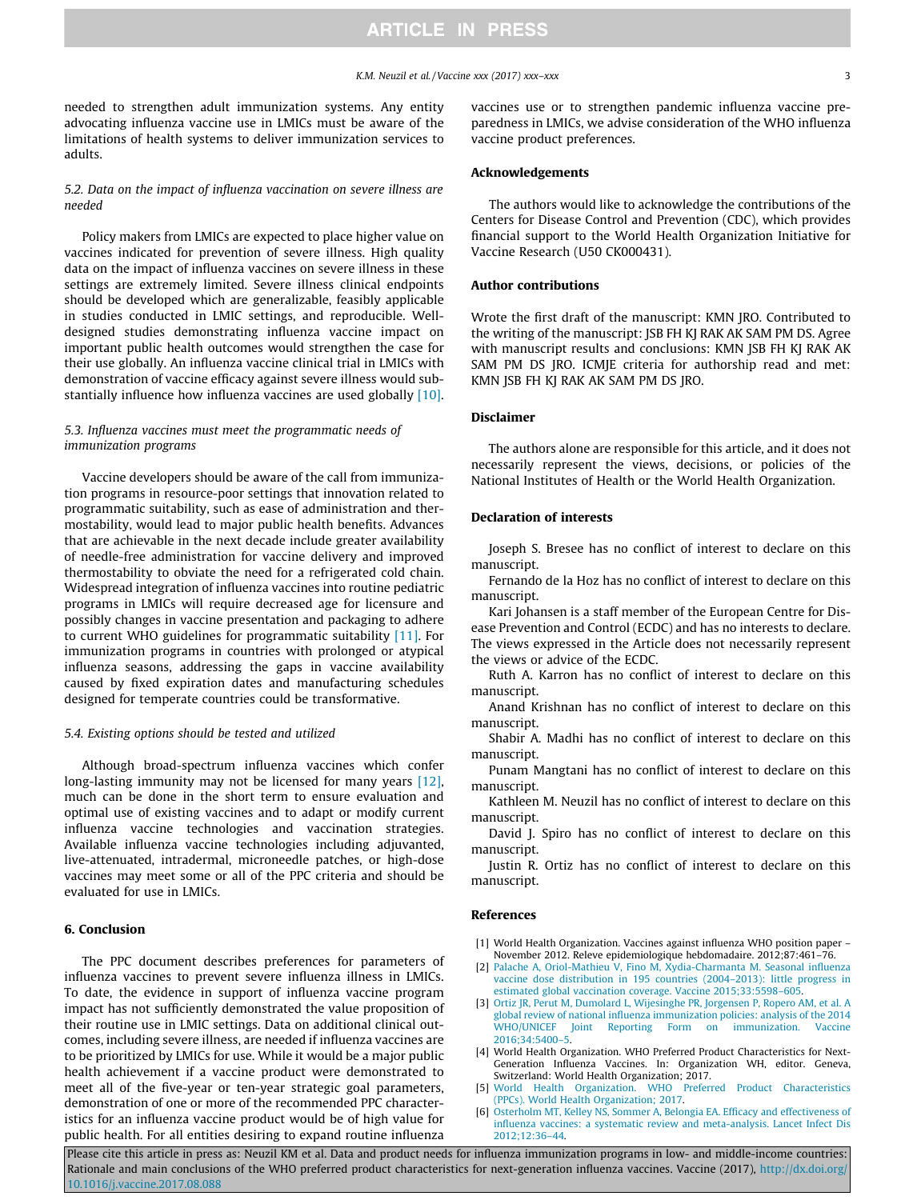<span id="page-2-0"></span>needed to strengthen adult immunization systems. Any entity advocating influenza vaccine use in LMICs must be aware of the limitations of health systems to deliver immunization services to adults.

5.2. Data on the impact of influenza vaccination on severe illness are needed

Policy makers from LMICs are expected to place higher value on vaccines indicated for prevention of severe illness. High quality data on the impact of influenza vaccines on severe illness in these settings are extremely limited. Severe illness clinical endpoints should be developed which are generalizable, feasibly applicable in studies conducted in LMIC settings, and reproducible. Welldesigned studies demonstrating influenza vaccine impact on important public health outcomes would strengthen the case for their use globally. An influenza vaccine clinical trial in LMICs with demonstration of vaccine efficacy against severe illness would substantially influence how influenza vaccines are used globally [\[10\].](#page-3-0)

### 5.3. Influenza vaccines must meet the programmatic needs of immunization programs

Vaccine developers should be aware of the call from immunization programs in resource-poor settings that innovation related to programmatic suitability, such as ease of administration and thermostability, would lead to major public health benefits. Advances that are achievable in the next decade include greater availability of needle-free administration for vaccine delivery and improved thermostability to obviate the need for a refrigerated cold chain. Widespread integration of influenza vaccines into routine pediatric programs in LMICs will require decreased age for licensure and possibly changes in vaccine presentation and packaging to adhere to current WHO guidelines for programmatic suitability [\[11\]](#page-3-0). For immunization programs in countries with prolonged or atypical influenza seasons, addressing the gaps in vaccine availability caused by fixed expiration dates and manufacturing schedules designed for temperate countries could be transformative.

#### 5.4. Existing options should be tested and utilized

Although broad-spectrum influenza vaccines which confer long-lasting immunity may not be licensed for many years [\[12\],](#page-3-0) much can be done in the short term to ensure evaluation and optimal use of existing vaccines and to adapt or modify current influenza vaccine technologies and vaccination strategies. Available influenza vaccine technologies including adjuvanted, live-attenuated, intradermal, microneedle patches, or high-dose vaccines may meet some or all of the PPC criteria and should be evaluated for use in LMICs.

## 6. Conclusion

The PPC document describes preferences for parameters of influenza vaccines to prevent severe influenza illness in LMICs. To date, the evidence in support of influenza vaccine program impact has not sufficiently demonstrated the value proposition of their routine use in LMIC settings. Data on additional clinical outcomes, including severe illness, are needed if influenza vaccines are to be prioritized by LMICs for use. While it would be a major public health achievement if a vaccine product were demonstrated to meet all of the five-year or ten-year strategic goal parameters, demonstration of one or more of the recommended PPC characteristics for an influenza vaccine product would be of high value for public health. For all entities desiring to expand routine influenza

vaccines use or to strengthen pandemic influenza vaccine preparedness in LMICs, we advise consideration of the WHO influenza vaccine product preferences.

#### Acknowledgements

The authors would like to acknowledge the contributions of the Centers for Disease Control and Prevention (CDC), which provides financial support to the World Health Organization Initiative for Vaccine Research (U50 CK000431).

#### Author contributions

Wrote the first draft of the manuscript: KMN JRO. Contributed to the writing of the manuscript: JSB FH KJ RAK AK SAM PM DS. Agree with manuscript results and conclusions: KMN JSB FH KJ RAK AK SAM PM DS JRO. ICMJE criteria for authorship read and met: KMN JSB FH KJ RAK AK SAM PM DS JRO.

### Disclaimer

The authors alone are responsible for this article, and it does not necessarily represent the views, decisions, or policies of the National Institutes of Health or the World Health Organization.

## Declaration of interests

Joseph S. Bresee has no conflict of interest to declare on this manuscript.

Fernando de la Hoz has no conflict of interest to declare on this manuscript.

Kari Johansen is a staff member of the European Centre for Disease Prevention and Control (ECDC) and has no interests to declare. The views expressed in the Article does not necessarily represent the views or advice of the ECDC.

Ruth A. Karron has no conflict of interest to declare on this manuscript.

Anand Krishnan has no conflict of interest to declare on this manuscript.

Shabir A. Madhi has no conflict of interest to declare on this manuscript.

Punam Mangtani has no conflict of interest to declare on this manuscript.

Kathleen M. Neuzil has no conflict of interest to declare on this manuscript.

David J. Spiro has no conflict of interest to declare on this manuscript.

Justin R. Ortiz has no conflict of interest to declare on this manuscript.

#### References

- [1] World Health Organization. Vaccines against influenza WHO position paper November 2012. Releve epidemiologique hebdomadaire. 2012;87:461–76.
- [2] [Palache A, Oriol-Mathieu V, Fino M, Xydia-Charmanta M. Seasonal influenza](http://refhub.elsevier.com/S0264-410X(17)31188-X/h0010) [vaccine dose distribution in 195 countries \(2004–2013\): little progress in](http://refhub.elsevier.com/S0264-410X(17)31188-X/h0010) [estimated global vaccination coverage. Vaccine 2015;33:5598–605.](http://refhub.elsevier.com/S0264-410X(17)31188-X/h0010)
- [3] [Ortiz JR, Perut M, Dumolard L, Wijesinghe PR, Jorgensen P, Ropero AM, et al. A](http://refhub.elsevier.com/S0264-410X(17)31188-X/h0015) [global review of national influenza immunization policies: analysis of the 2014](http://refhub.elsevier.com/S0264-410X(17)31188-X/h0015) WHO/UNICEF Joint Reporting [2016;34:5400–5.](http://refhub.elsevier.com/S0264-410X(17)31188-X/h0015)
- [4] World Health Organization. WHO Preferred Product Characteristics for Next-Generation Influenza Vaccines. In: Organization WH, editor. Geneva, Switzerland: World Health Organization; 2017.<br>World Health Organization. WHO Preferred Product Characteristics
- [5] World Health Organization. WHO [\(PPCs\). World Health Organization; 2017](http://refhub.elsevier.com/S0264-410X(17)31188-X/h0025).
- [6] [Osterholm MT, Kelley NS, Sommer A, Belongia EA. Efficacy and effectiveness of](http://refhub.elsevier.com/S0264-410X(17)31188-X/h9000) [influenza vaccines: a systematic review and meta-analysis. Lancet Infect Dis](http://refhub.elsevier.com/S0264-410X(17)31188-X/h9000) [2012;12:36–44](http://refhub.elsevier.com/S0264-410X(17)31188-X/h9000).

Please cite this article in press as: Neuzil KM et al. Data and product needs for influenza immunization programs in low- and middle-income countries: Rationale and main conclusions of the WHO preferred product characteristics for next-generation influenza vaccines. Vaccine (2017), [http://dx.doi.org/](http://dx.doi.org/10.1016/j.vaccine.2017.08.088) [10.1016/j.vaccine.2017.08.088](http://dx.doi.org/10.1016/j.vaccine.2017.08.088)